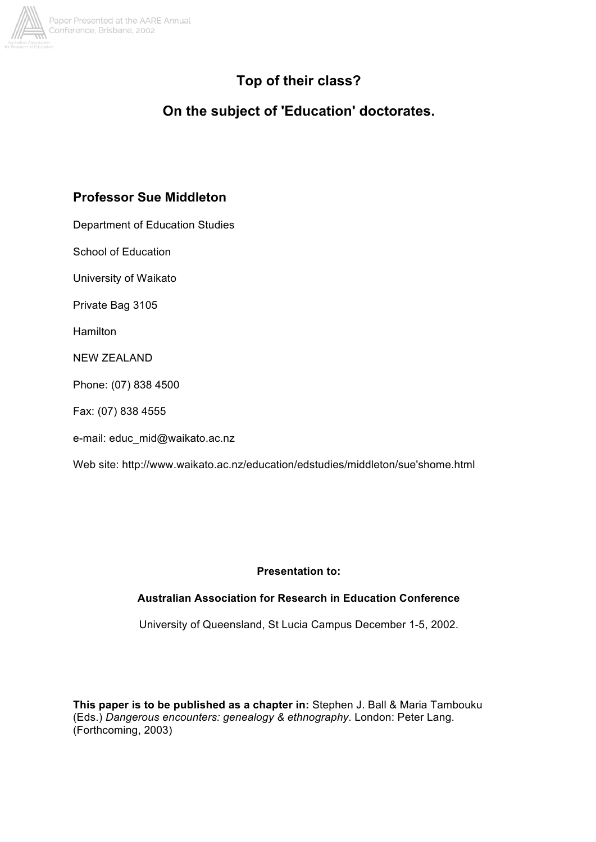

# **Top of their class?**

# **On the subject of 'Education' doctorates.**

# **Professor Sue Middleton**

Department of Education Studies

School of Education

University of Waikato

Private Bag 3105

**Hamilton** 

NEW ZEALAND

Phone: (07) 838 4500

Fax: (07) 838 4555

e-mail: educ\_mid@waikato.ac.nz

Web site: http://www.waikato.ac.nz/education/edstudies/middleton/sue'shome.html

### **Presentation to:**

### **Australian Association for Research in Education Conference**

University of Queensland, St Lucia Campus December 1-5, 2002.

**This paper is to be published as a chapter in:** Stephen J. Ball & Maria Tambouku (Eds.) *Dangerous encounters: genealogy & ethnography*. London: Peter Lang. (Forthcoming, 2003)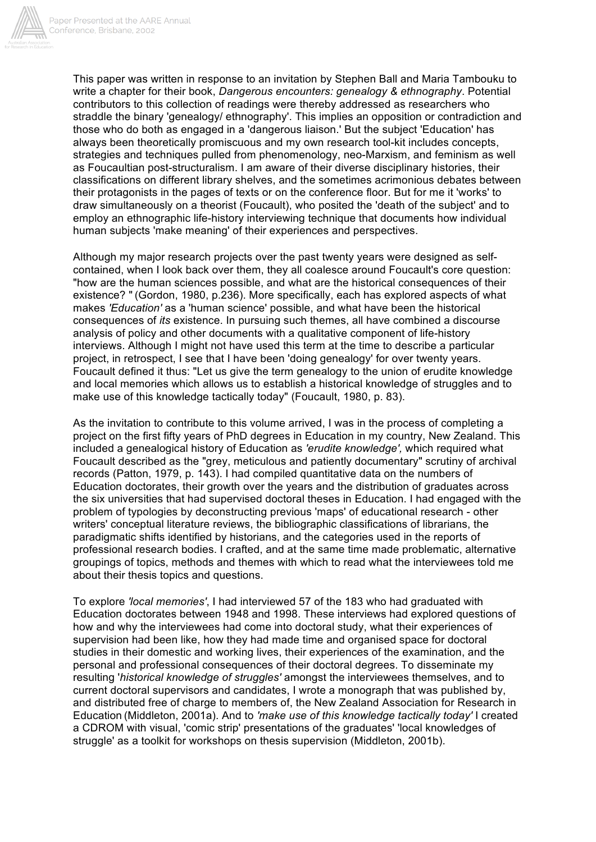

This paper was written in response to an invitation by Stephen Ball and Maria Tambouku to write a chapter for their book, *Dangerous encounters: genealogy & ethnography*. Potential contributors to this collection of readings were thereby addressed as researchers who straddle the binary 'genealogy/ ethnography'. This implies an opposition or contradiction and those who do both as engaged in a 'dangerous liaison.' But the subject 'Education' has always been theoretically promiscuous and my own research tool-kit includes concepts, strategies and techniques pulled from phenomenology, neo-Marxism, and feminism as well as Foucaultian post-structuralism. I am aware of their diverse disciplinary histories, their classifications on different library shelves, and the sometimes acrimonious debates between their protagonists in the pages of texts or on the conference floor. But for me it 'works' to draw simultaneously on a theorist (Foucault), who posited the 'death of the subject' and to employ an ethnographic life-history interviewing technique that documents how individual human subjects 'make meaning' of their experiences and perspectives.

Although my major research projects over the past twenty years were designed as selfcontained, when I look back over them, they all coalesce around Foucault's core question: "how are the human sciences possible, and what are the historical consequences of their existence? " (Gordon, 1980, p.236). More specifically, each has explored aspects of what makes *'Education'* as a 'human science' possible, and what have been the historical consequences of *its* existence. In pursuing such themes, all have combined a discourse analysis of policy and other documents with a qualitative component of life-history interviews. Although I might not have used this term at the time to describe a particular project, in retrospect, I see that I have been 'doing genealogy' for over twenty years. Foucault defined it thus: "Let us give the term genealogy to the union of erudite knowledge and local memories which allows us to establish a historical knowledge of struggles and to make use of this knowledge tactically today" (Foucault, 1980, p. 83).

As the invitation to contribute to this volume arrived, I was in the process of completing a project on the first fifty years of PhD degrees in Education in my country, New Zealand. This included a genealogical history of Education as *'erudite knowledge',* which required what Foucault described as the "grey, meticulous and patiently documentary" scrutiny of archival records (Patton, 1979, p. 143). I had compiled quantitative data on the numbers of Education doctorates, their growth over the years and the distribution of graduates across the six universities that had supervised doctoral theses in Education. I had engaged with the problem of typologies by deconstructing previous 'maps' of educational research - other writers' conceptual literature reviews, the bibliographic classifications of librarians, the paradigmatic shifts identified by historians, and the categories used in the reports of professional research bodies. I crafted, and at the same time made problematic, alternative groupings of topics, methods and themes with which to read what the interviewees told me about their thesis topics and questions.

To explore *'local memories'*, I had interviewed 57 of the 183 who had graduated with Education doctorates between 1948 and 1998. These interviews had explored questions of how and why the interviewees had come into doctoral study, what their experiences of supervision had been like, how they had made time and organised space for doctoral studies in their domestic and working lives, their experiences of the examination, and the personal and professional consequences of their doctoral degrees. To disseminate my resulting '*historical knowledge of struggles'* amongst the interviewees themselves, and to current doctoral supervisors and candidates, I wrote a monograph that was published by, and distributed free of charge to members of, the New Zealand Association for Research in Education (Middleton, 2001a). And to *'make use of this knowledge tactically today'* I created a CDROM with visual, 'comic strip' presentations of the graduates' 'local knowledges of struggle' as a toolkit for workshops on thesis supervision (Middleton, 2001b).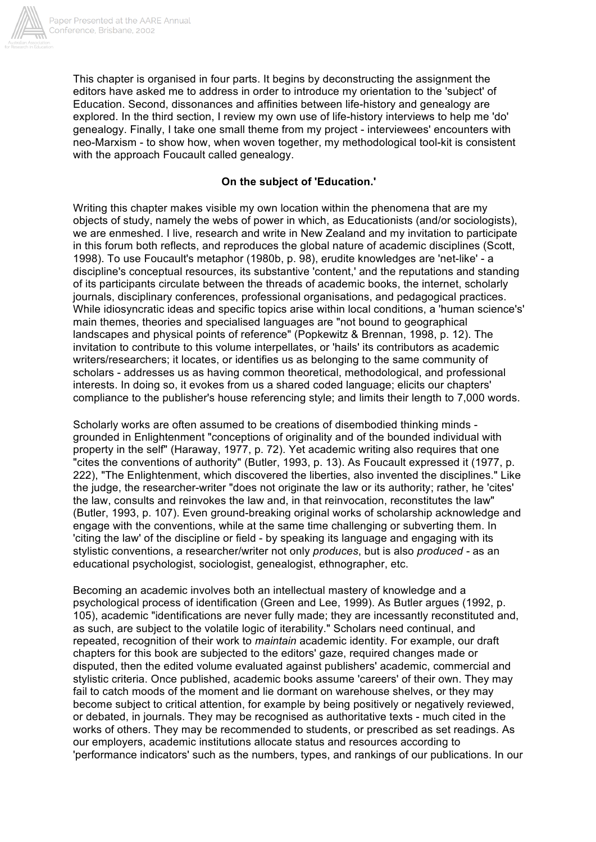

This chapter is organised in four parts. It begins by deconstructing the assignment the editors have asked me to address in order to introduce my orientation to the 'subject' of Education. Second, dissonances and affinities between life-history and genealogy are explored. In the third section, I review my own use of life-history interviews to help me 'do' genealogy. Finally, I take one small theme from my project - interviewees' encounters with neo-Marxism - to show how, when woven together, my methodological tool-kit is consistent with the approach Foucault called genealogy.

# **On the subject of 'Education.'**

Writing this chapter makes visible my own location within the phenomena that are my objects of study, namely the webs of power in which, as Educationists (and/or sociologists), we are enmeshed. I live, research and write in New Zealand and my invitation to participate in this forum both reflects, and reproduces the global nature of academic disciplines (Scott, 1998). To use Foucault's metaphor (1980b, p. 98), erudite knowledges are 'net-like' - a discipline's conceptual resources, its substantive 'content,' and the reputations and standing of its participants circulate between the threads of academic books, the internet, scholarly journals, disciplinary conferences, professional organisations, and pedagogical practices. While idiosyncratic ideas and specific topics arise within local conditions, a 'human science's' main themes, theories and specialised languages are "not bound to geographical landscapes and physical points of reference" (Popkewitz & Brennan, 1998, p. 12). The invitation to contribute to this volume interpellates, or 'hails' its contributors as academic writers/researchers; it locates, or identifies us as belonging to the same community of scholars - addresses us as having common theoretical, methodological, and professional interests. In doing so, it evokes from us a shared coded language; elicits our chapters' compliance to the publisher's house referencing style; and limits their length to 7,000 words.

Scholarly works are often assumed to be creations of disembodied thinking minds grounded in Enlightenment "conceptions of originality and of the bounded individual with property in the self" (Haraway, 1977, p. 72). Yet academic writing also requires that one "cites the conventions of authority" (Butler, 1993, p. 13). As Foucault expressed it (1977, p. 222), "The Enlightenment, which discovered the liberties, also invented the disciplines." Like the judge, the researcher-writer "does not originate the law or its authority; rather, he 'cites' the law, consults and reinvokes the law and, in that reinvocation, reconstitutes the law" (Butler, 1993, p. 107). Even ground-breaking original works of scholarship acknowledge and engage with the conventions, while at the same time challenging or subverting them. In 'citing the law' of the discipline or field - by speaking its language and engaging with its stylistic conventions, a researcher/writer not only *produces*, but is also *produced -* as an educational psychologist, sociologist, genealogist, ethnographer, etc.

Becoming an academic involves both an intellectual mastery of knowledge and a psychological process of identification (Green and Lee, 1999). As Butler argues (1992, p. 105), academic "identifications are never fully made; they are incessantly reconstituted and, as such, are subject to the volatile logic of iterability." Scholars need continual, and repeated, recognition of their work to *maintain* academic identity. For example, our draft chapters for this book are subjected to the editors' gaze, required changes made or disputed, then the edited volume evaluated against publishers' academic, commercial and stylistic criteria. Once published, academic books assume 'careers' of their own. They may fail to catch moods of the moment and lie dormant on warehouse shelves, or they may become subject to critical attention, for example by being positively or negatively reviewed, or debated, in journals. They may be recognised as authoritative texts - much cited in the works of others. They may be recommended to students, or prescribed as set readings. As our employers, academic institutions allocate status and resources according to 'performance indicators' such as the numbers, types, and rankings of our publications. In our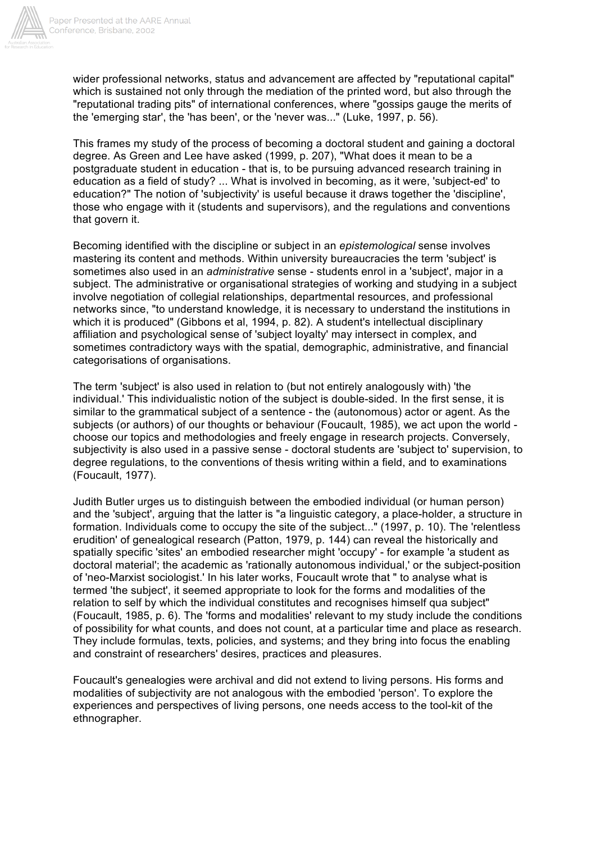

wider professional networks, status and advancement are affected by "reputational capital" which is sustained not only through the mediation of the printed word, but also through the "reputational trading pits" of international conferences, where "gossips gauge the merits of the 'emerging star', the 'has been', or the 'never was..." (Luke, 1997, p. 56).

This frames my study of the process of becoming a doctoral student and gaining a doctoral degree. As Green and Lee have asked (1999, p. 207), "What does it mean to be a postgraduate student in education - that is, to be pursuing advanced research training in education as a field of study? ... What is involved in becoming, as it were, 'subject-ed' to education?" The notion of 'subjectivity' is useful because it draws together the 'discipline', those who engage with it (students and supervisors), and the regulations and conventions that govern it.

Becoming identified with the discipline or subject in an *epistemological* sense involves mastering its content and methods. Within university bureaucracies the term 'subject' is sometimes also used in an *administrative* sense - students enrol in a 'subject', major in a subject. The administrative or organisational strategies of working and studying in a subject involve negotiation of collegial relationships, departmental resources, and professional networks since, "to understand knowledge, it is necessary to understand the institutions in which it is produced" (Gibbons et al, 1994, p. 82). A student's intellectual disciplinary affiliation and psychological sense of 'subject loyalty' may intersect in complex, and sometimes contradictory ways with the spatial, demographic, administrative, and financial categorisations of organisations.

The term 'subject' is also used in relation to (but not entirely analogously with) 'the individual.' This individualistic notion of the subject is double-sided. In the first sense, it is similar to the grammatical subject of a sentence - the (autonomous) actor or agent. As the subjects (or authors) of our thoughts or behaviour (Foucault, 1985), we act upon the world choose our topics and methodologies and freely engage in research projects. Conversely, subjectivity is also used in a passive sense - doctoral students are 'subject to' supervision, to degree regulations, to the conventions of thesis writing within a field, and to examinations (Foucault, 1977).

Judith Butler urges us to distinguish between the embodied individual (or human person) and the 'subject', arguing that the latter is "a linguistic category, a place-holder, a structure in formation. Individuals come to occupy the site of the subject..." (1997, p. 10). The 'relentless erudition' of genealogical research (Patton, 1979, p. 144) can reveal the historically and spatially specific 'sites' an embodied researcher might 'occupy' - for example 'a student as doctoral material'; the academic as 'rationally autonomous individual,' or the subject-position of 'neo-Marxist sociologist.' In his later works, Foucault wrote that " to analyse what is termed 'the subject', it seemed appropriate to look for the forms and modalities of the relation to self by which the individual constitutes and recognises himself qua subject" (Foucault, 1985, p. 6). The 'forms and modalities' relevant to my study include the conditions of possibility for what counts, and does not count, at a particular time and place as research. They include formulas, texts, policies, and systems; and they bring into focus the enabling and constraint of researchers' desires, practices and pleasures.

Foucault's genealogies were archival and did not extend to living persons. His forms and modalities of subjectivity are not analogous with the embodied 'person'. To explore the experiences and perspectives of living persons, one needs access to the tool-kit of the ethnographer.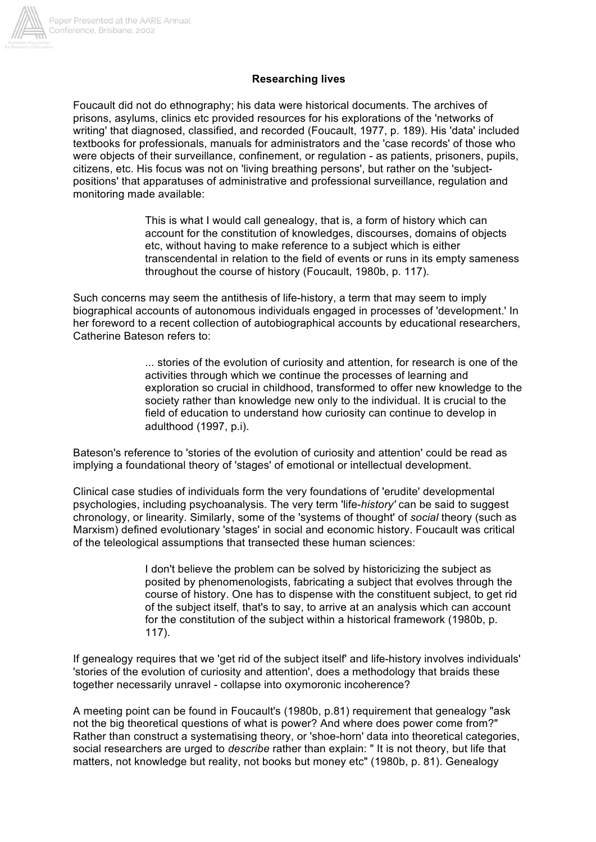

# **Researching lives**

Foucault did not do ethnography; his data were historical documents. The archives of prisons, asylums, clinics etc provided resources for his explorations of the 'networks of writing' that diagnosed, classified, and recorded (Foucault, 1977, p. 189). His 'data' included textbooks for professionals, manuals for administrators and the 'case records' of those who were objects of their surveillance, confinement, or regulation - as patients, prisoners, pupils, citizens, etc. His focus was not on 'living breathing persons', but rather on the 'subjectpositions' that apparatuses of administrative and professional surveillance, regulation and monitoring made available:

> This is what I would call genealogy, that is, a form of history which can account for the constitution of knowledges, discourses, domains of objects etc, without having to make reference to a subject which is either transcendental in relation to the field of events or runs in its empty sameness throughout the course of history (Foucault, 1980b, p. 117).

Such concerns may seem the antithesis of life-history, a term that may seem to imply biographical accounts of autonomous individuals engaged in processes of 'development.' In her foreword to a recent collection of autobiographical accounts by educational researchers, Catherine Bateson refers to:

> ... stories of the evolution of curiosity and attention, for research is one of the activities through which we continue the processes of learning and exploration so crucial in childhood, transformed to offer new knowledge to the society rather than knowledge new only to the individual. It is crucial to the field of education to understand how curiosity can continue to develop in adulthood (1997, p.i).

Bateson's reference to 'stories of the evolution of curiosity and attention' could be read as implying a foundational theory of 'stages' of emotional or intellectual development.

Clinical case studies of individuals form the very foundations of 'erudite' developmental psychologies, including psychoanalysis. The very term 'life-*history'* can be said to suggest chronology, or linearity. Similarly, some of the 'systems of thought' of *social* theory (such as Marxism) defined evolutionary 'stages' in social and economic history. Foucault was critical of the teleological assumptions that transected these human sciences:

> I don't believe the problem can be solved by historicizing the subject as posited by phenomenologists, fabricating a subject that evolves through the course of history. One has to dispense with the constituent subject, to get rid of the subject itself, that's to say, to arrive at an analysis which can account for the constitution of the subject within a historical framework (1980b, p. 117).

If genealogy requires that we 'get rid of the subject itself' and life-history involves individuals' 'stories of the evolution of curiosity and attention', does a methodology that braids these together necessarily unravel - collapse into oxymoronic incoherence?

A meeting point can be found in Foucault's (1980b, p.81) requirement that genealogy "ask not the big theoretical questions of what is power? And where does power come from?" Rather than construct a systematising theory, or 'shoe-horn' data into theoretical categories, social researchers are urged to *describe* rather than explain: " It is not theory, but life that matters, not knowledge but reality, not books but money etc" (1980b, p. 81). Genealogy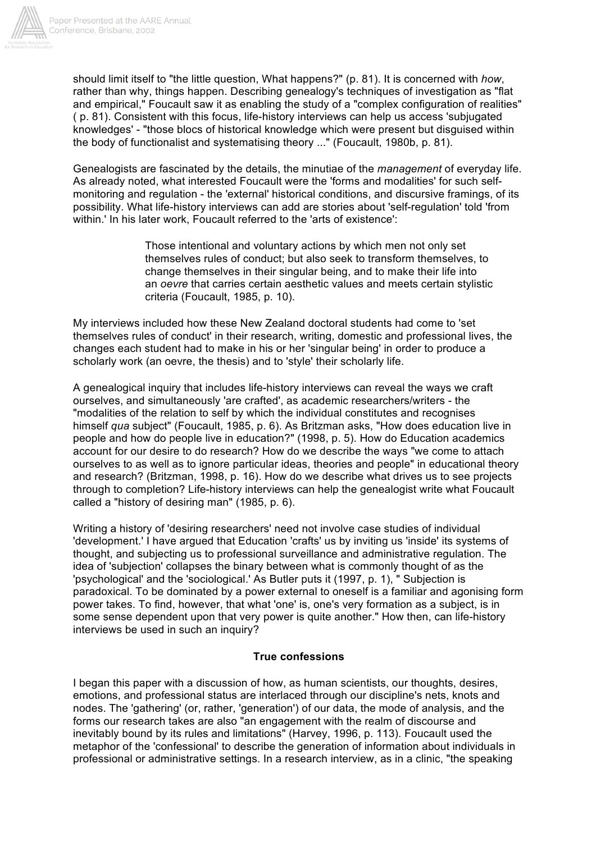

should limit itself to "the little question, What happens?" (p. 81). It is concerned with *how*, rather than why, things happen. Describing genealogy's techniques of investigation as "flat and empirical," Foucault saw it as enabling the study of a "complex configuration of realities" ( p. 81). Consistent with this focus, life-history interviews can help us access 'subjugated knowledges' - "those blocs of historical knowledge which were present but disguised within the body of functionalist and systematising theory ..." (Foucault, 1980b, p. 81).

Genealogists are fascinated by the details, the minutiae of the *management* of everyday life. As already noted, what interested Foucault were the 'forms and modalities' for such selfmonitoring and regulation - the 'external' historical conditions, and discursive framings, of its possibility. What life-history interviews can add are stories about 'self-regulation' told 'from within.' In his later work, Foucault referred to the 'arts of existence':

> Those intentional and voluntary actions by which men not only set themselves rules of conduct; but also seek to transform themselves, to change themselves in their singular being, and to make their life into an *oevre* that carries certain aesthetic values and meets certain stylistic criteria (Foucault, 1985, p. 10).

My interviews included how these New Zealand doctoral students had come to 'set themselves rules of conduct' in their research, writing, domestic and professional lives, the changes each student had to make in his or her 'singular being' in order to produce a scholarly work (an oevre, the thesis) and to 'style' their scholarly life.

A genealogical inquiry that includes life-history interviews can reveal the ways we craft ourselves, and simultaneously 'are crafted', as academic researchers/writers - the "modalities of the relation to self by which the individual constitutes and recognises himself *qua* subject" (Foucault, 1985, p. 6). As Britzman asks, "How does education live in people and how do people live in education?" (1998, p. 5). How do Education academics account for our desire to do research? How do we describe the ways "we come to attach ourselves to as well as to ignore particular ideas, theories and people" in educational theory and research? (Britzman, 1998, p. 16). How do we describe what drives us to see projects through to completion? Life-history interviews can help the genealogist write what Foucault called a "history of desiring man" (1985, p. 6).

Writing a history of 'desiring researchers' need not involve case studies of individual 'development.' I have argued that Education 'crafts' us by inviting us 'inside' its systems of thought, and subjecting us to professional surveillance and administrative regulation. The idea of 'subjection' collapses the binary between what is commonly thought of as the 'psychological' and the 'sociological.' As Butler puts it (1997, p. 1), " Subjection is paradoxical. To be dominated by a power external to oneself is a familiar and agonising form power takes. To find, however, that what 'one' is, one's very formation as a subject, is in some sense dependent upon that very power is quite another." How then, can life-history interviews be used in such an inquiry?

### **True confessions**

I began this paper with a discussion of how, as human scientists, our thoughts, desires, emotions, and professional status are interlaced through our discipline's nets, knots and nodes. The 'gathering' (or, rather, 'generation') of our data, the mode of analysis, and the forms our research takes are also "an engagement with the realm of discourse and inevitably bound by its rules and limitations" (Harvey, 1996, p. 113). Foucault used the metaphor of the 'confessional' to describe the generation of information about individuals in professional or administrative settings. In a research interview, as in a clinic, "the speaking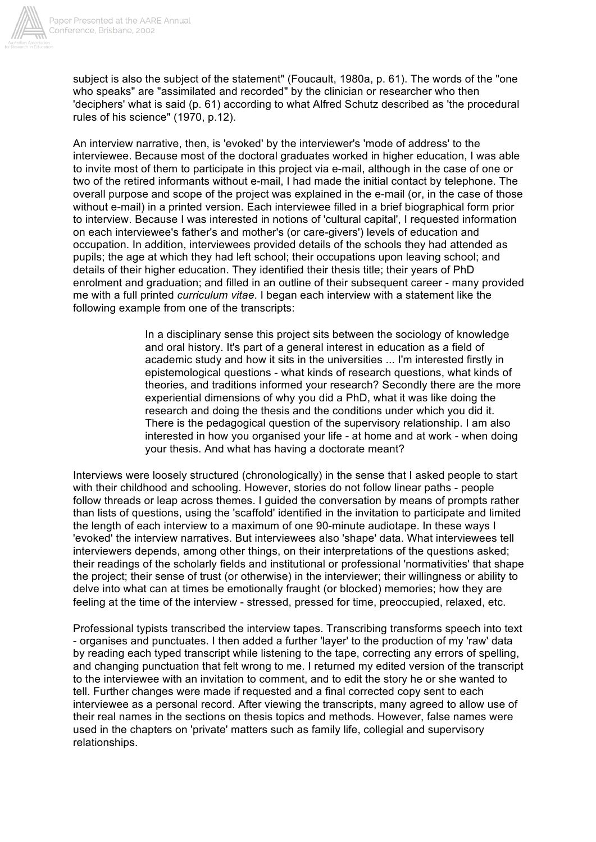

subject is also the subject of the statement" (Foucault, 1980a, p. 61). The words of the "one who speaks" are "assimilated and recorded" by the clinician or researcher who then 'deciphers' what is said (p. 61) according to what Alfred Schutz described as 'the procedural rules of his science" (1970, p.12).

An interview narrative, then, is 'evoked' by the interviewer's 'mode of address' to the interviewee. Because most of the doctoral graduates worked in higher education, I was able to invite most of them to participate in this project via e-mail, although in the case of one or two of the retired informants without e-mail, I had made the initial contact by telephone. The overall purpose and scope of the project was explained in the e-mail (or, in the case of those without e-mail) in a printed version. Each interviewee filled in a brief biographical form prior to interview. Because I was interested in notions of 'cultural capital', I requested information on each interviewee's father's and mother's (or care-givers') levels of education and occupation. In addition, interviewees provided details of the schools they had attended as pupils; the age at which they had left school; their occupations upon leaving school; and details of their higher education. They identified their thesis title; their years of PhD enrolment and graduation; and filled in an outline of their subsequent career - many provided me with a full printed *curriculum vitae*. I began each interview with a statement like the following example from one of the transcripts:

> In a disciplinary sense this project sits between the sociology of knowledge and oral history. It's part of a general interest in education as a field of academic study and how it sits in the universities ... I'm interested firstly in epistemological questions - what kinds of research questions, what kinds of theories, and traditions informed your research? Secondly there are the more experiential dimensions of why you did a PhD, what it was like doing the research and doing the thesis and the conditions under which you did it. There is the pedagogical question of the supervisory relationship. I am also interested in how you organised your life - at home and at work - when doing your thesis. And what has having a doctorate meant?

Interviews were loosely structured (chronologically) in the sense that I asked people to start with their childhood and schooling. However, stories do not follow linear paths - people follow threads or leap across themes. I guided the conversation by means of prompts rather than lists of questions, using the 'scaffold' identified in the invitation to participate and limited the length of each interview to a maximum of one 90-minute audiotape. In these ways I 'evoked' the interview narratives. But interviewees also 'shape' data. What interviewees tell interviewers depends, among other things, on their interpretations of the questions asked; their readings of the scholarly fields and institutional or professional 'normativities' that shape the project; their sense of trust (or otherwise) in the interviewer; their willingness or ability to delve into what can at times be emotionally fraught (or blocked) memories; how they are feeling at the time of the interview - stressed, pressed for time, preoccupied, relaxed, etc.

Professional typists transcribed the interview tapes. Transcribing transforms speech into text - organises and punctuates. I then added a further 'layer' to the production of my 'raw' data by reading each typed transcript while listening to the tape, correcting any errors of spelling, and changing punctuation that felt wrong to me. I returned my edited version of the transcript to the interviewee with an invitation to comment, and to edit the story he or she wanted to tell. Further changes were made if requested and a final corrected copy sent to each interviewee as a personal record. After viewing the transcripts, many agreed to allow use of their real names in the sections on thesis topics and methods. However, false names were used in the chapters on 'private' matters such as family life, collegial and supervisory relationships.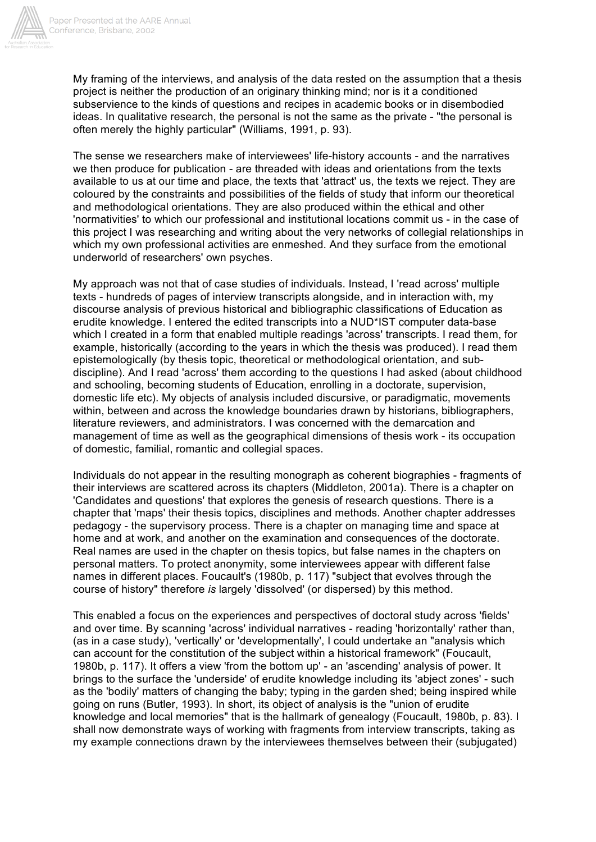

My framing of the interviews, and analysis of the data rested on the assumption that a thesis project is neither the production of an originary thinking mind; nor is it a conditioned subservience to the kinds of questions and recipes in academic books or in disembodied ideas. In qualitative research, the personal is not the same as the private - "the personal is often merely the highly particular" (Williams, 1991, p. 93).

The sense we researchers make of interviewees' life-history accounts - and the narratives we then produce for publication - are threaded with ideas and orientations from the texts available to us at our time and place, the texts that 'attract' us, the texts we reject. They are coloured by the constraints and possibilities of the fields of study that inform our theoretical and methodological orientations. They are also produced within the ethical and other 'normativities' to which our professional and institutional locations commit us - in the case of this project I was researching and writing about the very networks of collegial relationships in which my own professional activities are enmeshed. And they surface from the emotional underworld of researchers' own psyches.

My approach was not that of case studies of individuals. Instead, I 'read across' multiple texts - hundreds of pages of interview transcripts alongside, and in interaction with, my discourse analysis of previous historical and bibliographic classifications of Education as erudite knowledge. I entered the edited transcripts into a NUD\*IST computer data-base which I created in a form that enabled multiple readings 'across' transcripts. I read them, for example, historically (according to the years in which the thesis was produced). I read them epistemologically (by thesis topic, theoretical or methodological orientation, and subdiscipline). And I read 'across' them according to the questions I had asked (about childhood and schooling, becoming students of Education, enrolling in a doctorate, supervision, domestic life etc). My objects of analysis included discursive, or paradigmatic, movements within, between and across the knowledge boundaries drawn by historians, bibliographers, literature reviewers, and administrators. I was concerned with the demarcation and management of time as well as the geographical dimensions of thesis work - its occupation of domestic, familial, romantic and collegial spaces.

Individuals do not appear in the resulting monograph as coherent biographies - fragments of their interviews are scattered across its chapters (Middleton, 2001a). There is a chapter on 'Candidates and questions' that explores the genesis of research questions. There is a chapter that 'maps' their thesis topics, disciplines and methods. Another chapter addresses pedagogy - the supervisory process. There is a chapter on managing time and space at home and at work, and another on the examination and consequences of the doctorate. Real names are used in the chapter on thesis topics, but false names in the chapters on personal matters. To protect anonymity, some interviewees appear with different false names in different places. Foucault's (1980b, p. 117) "subject that evolves through the course of history" therefore *is* largely 'dissolved' (or dispersed) by this method.

This enabled a focus on the experiences and perspectives of doctoral study across 'fields' and over time. By scanning 'across' individual narratives - reading 'horizontally' rather than, (as in a case study), 'vertically' or 'developmentally', I could undertake an "analysis which can account for the constitution of the subject within a historical framework" (Foucault, 1980b, p. 117). It offers a view 'from the bottom up' - an 'ascending' analysis of power. It brings to the surface the 'underside' of erudite knowledge including its 'abject zones' - such as the 'bodily' matters of changing the baby; typing in the garden shed; being inspired while going on runs (Butler, 1993). In short, its object of analysis is the "union of erudite knowledge and local memories" that is the hallmark of genealogy (Foucault, 1980b, p. 83). I shall now demonstrate ways of working with fragments from interview transcripts, taking as my example connections drawn by the interviewees themselves between their (subjugated)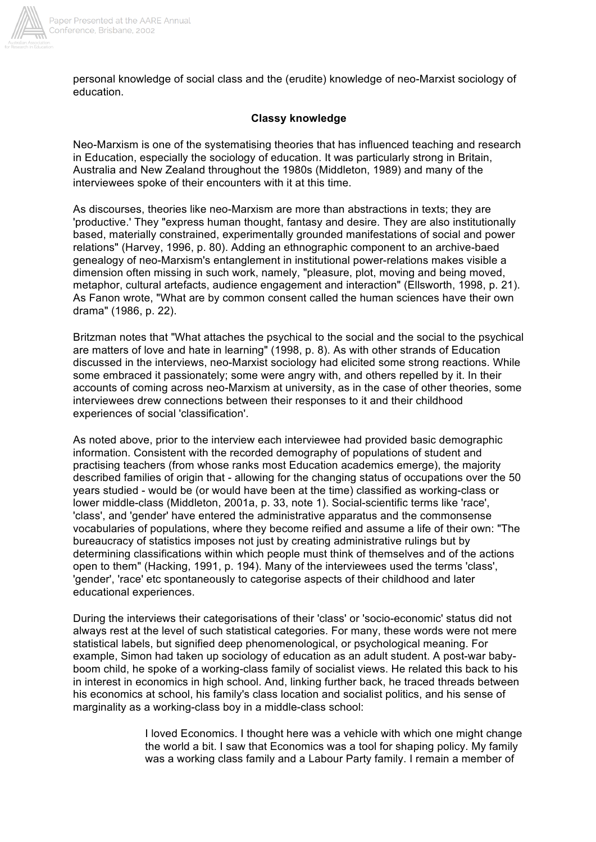

personal knowledge of social class and the (erudite) knowledge of neo-Marxist sociology of education.

# **Classy knowledge**

Neo-Marxism is one of the systematising theories that has influenced teaching and research in Education, especially the sociology of education. It was particularly strong in Britain, Australia and New Zealand throughout the 1980s (Middleton, 1989) and many of the interviewees spoke of their encounters with it at this time.

As discourses, theories like neo-Marxism are more than abstractions in texts; they are 'productive.' They "express human thought, fantasy and desire. They are also institutionally based, materially constrained, experimentally grounded manifestations of social and power relations" (Harvey, 1996, p. 80). Adding an ethnographic component to an archive-baed genealogy of neo-Marxism's entanglement in institutional power-relations makes visible a dimension often missing in such work, namely, "pleasure, plot, moving and being moved, metaphor, cultural artefacts, audience engagement and interaction" (Ellsworth, 1998, p. 21). As Fanon wrote, "What are by common consent called the human sciences have their own drama" (1986, p. 22).

Britzman notes that "What attaches the psychical to the social and the social to the psychical are matters of love and hate in learning" (1998, p. 8). As with other strands of Education discussed in the interviews, neo-Marxist sociology had elicited some strong reactions. While some embraced it passionately; some were angry with, and others repelled by it. In their accounts of coming across neo-Marxism at university, as in the case of other theories, some interviewees drew connections between their responses to it and their childhood experiences of social 'classification'.

As noted above, prior to the interview each interviewee had provided basic demographic information. Consistent with the recorded demography of populations of student and practising teachers (from whose ranks most Education academics emerge), the majority described families of origin that - allowing for the changing status of occupations over the 50 years studied - would be (or would have been at the time) classified as working-class or lower middle-class (Middleton, 2001a, p. 33, note 1). Social-scientific terms like 'race', 'class', and 'gender' have entered the administrative apparatus and the commonsense vocabularies of populations, where they become reified and assume a life of their own: "The bureaucracy of statistics imposes not just by creating administrative rulings but by determining classifications within which people must think of themselves and of the actions open to them" (Hacking, 1991, p. 194). Many of the interviewees used the terms 'class', 'gender', 'race' etc spontaneously to categorise aspects of their childhood and later educational experiences.

During the interviews their categorisations of their 'class' or 'socio-economic' status did not always rest at the level of such statistical categories. For many, these words were not mere statistical labels, but signified deep phenomenological, or psychological meaning. For example, Simon had taken up sociology of education as an adult student. A post-war babyboom child, he spoke of a working-class family of socialist views. He related this back to his in interest in economics in high school. And, linking further back, he traced threads between his economics at school, his family's class location and socialist politics, and his sense of marginality as a working-class boy in a middle-class school:

> I loved Economics. I thought here was a vehicle with which one might change the world a bit. I saw that Economics was a tool for shaping policy. My family was a working class family and a Labour Party family. I remain a member of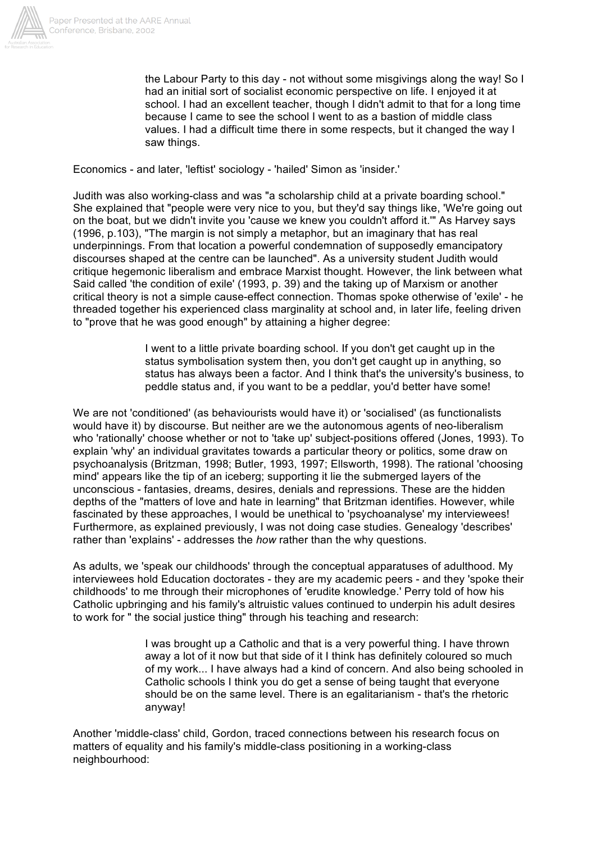

the Labour Party to this day - not without some misgivings along the way! So I had an initial sort of socialist economic perspective on life. I enjoyed it at school. I had an excellent teacher, though I didn't admit to that for a long time because I came to see the school I went to as a bastion of middle class values. I had a difficult time there in some respects, but it changed the way I saw things.

Economics - and later, 'leftist' sociology - 'hailed' Simon as 'insider.'

Judith was also working-class and was "a scholarship child at a private boarding school." She explained that "people were very nice to you, but they'd say things like, 'We're going out on the boat, but we didn't invite you 'cause we knew you couldn't afford it.'" As Harvey says (1996, p.103), "The margin is not simply a metaphor, but an imaginary that has real underpinnings. From that location a powerful condemnation of supposedly emancipatory discourses shaped at the centre can be launched". As a university student Judith would critique hegemonic liberalism and embrace Marxist thought. However, the link between what Said called 'the condition of exile' (1993, p. 39) and the taking up of Marxism or another critical theory is not a simple cause-effect connection. Thomas spoke otherwise of 'exile' - he threaded together his experienced class marginality at school and, in later life, feeling driven to "prove that he was good enough" by attaining a higher degree:

> I went to a little private boarding school. If you don't get caught up in the status symbolisation system then, you don't get caught up in anything, so status has always been a factor. And I think that's the university's business, to peddle status and, if you want to be a peddlar, you'd better have some!

We are not 'conditioned' (as behaviourists would have it) or 'socialised' (as functionalists would have it) by discourse. But neither are we the autonomous agents of neo-liberalism who 'rationally' choose whether or not to 'take up' subject-positions offered (Jones, 1993). To explain 'why' an individual gravitates towards a particular theory or politics, some draw on psychoanalysis (Britzman, 1998; Butler, 1993, 1997; Ellsworth, 1998). The rational 'choosing mind' appears like the tip of an iceberg; supporting it lie the submerged layers of the unconscious - fantasies, dreams, desires, denials and repressions. These are the hidden depths of the "matters of love and hate in learning" that Britzman identifies. However, while fascinated by these approaches, I would be unethical to 'psychoanalyse' my interviewees! Furthermore, as explained previously, I was not doing case studies. Genealogy 'describes' rather than 'explains' - addresses the *how* rather than the why questions.

As adults, we 'speak our childhoods' through the conceptual apparatuses of adulthood. My interviewees hold Education doctorates - they are my academic peers - and they 'spoke their childhoods' to me through their microphones of 'erudite knowledge.' Perry told of how his Catholic upbringing and his family's altruistic values continued to underpin his adult desires to work for " the social justice thing" through his teaching and research:

> I was brought up a Catholic and that is a very powerful thing. I have thrown away a lot of it now but that side of it I think has definitely coloured so much of my work... I have always had a kind of concern. And also being schooled in Catholic schools I think you do get a sense of being taught that everyone should be on the same level. There is an egalitarianism - that's the rhetoric anyway!

Another 'middle-class' child, Gordon, traced connections between his research focus on matters of equality and his family's middle-class positioning in a working-class neighbourhood: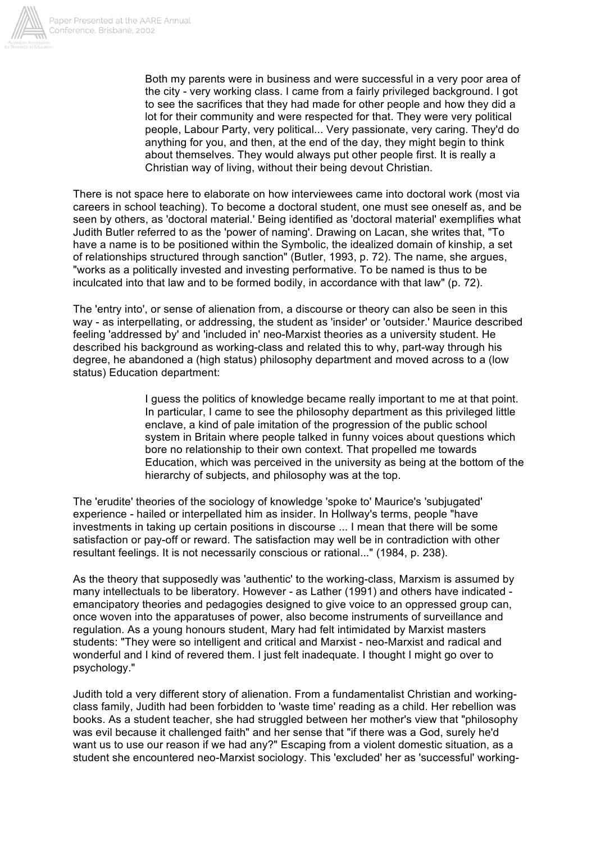

Both my parents were in business and were successful in a very poor area of the city - very working class. I came from a fairly privileged background. I got to see the sacrifices that they had made for other people and how they did a lot for their community and were respected for that. They were very political people, Labour Party, very political... Very passionate, very caring. They'd do anything for you, and then, at the end of the day, they might begin to think about themselves. They would always put other people first. It is really a Christian way of living, without their being devout Christian.

There is not space here to elaborate on how interviewees came into doctoral work (most via careers in school teaching). To become a doctoral student, one must see oneself as, and be seen by others, as 'doctoral material.' Being identified as 'doctoral material' exemplifies what Judith Butler referred to as the 'power of naming'. Drawing on Lacan, she writes that, "To have a name is to be positioned within the Symbolic, the idealized domain of kinship, a set of relationships structured through sanction" (Butler, 1993, p. 72). The name, she argues, "works as a politically invested and investing performative. To be named is thus to be inculcated into that law and to be formed bodily, in accordance with that law" (p. 72).

The 'entry into', or sense of alienation from, a discourse or theory can also be seen in this way - as interpellating, or addressing, the student as 'insider' or 'outsider.' Maurice described feeling 'addressed by' and 'included in' neo-Marxist theories as a university student. He described his background as working-class and related this to why, part-way through his degree, he abandoned a (high status) philosophy department and moved across to a (low status) Education department:

> I guess the politics of knowledge became really important to me at that point. In particular, I came to see the philosophy department as this privileged little enclave, a kind of pale imitation of the progression of the public school system in Britain where people talked in funny voices about questions which bore no relationship to their own context. That propelled me towards Education, which was perceived in the university as being at the bottom of the hierarchy of subjects, and philosophy was at the top.

The 'erudite' theories of the sociology of knowledge 'spoke to' Maurice's 'subjugated' experience - hailed or interpellated him as insider. In Hollway's terms, people "have investments in taking up certain positions in discourse ... I mean that there will be some satisfaction or pay-off or reward. The satisfaction may well be in contradiction with other resultant feelings. It is not necessarily conscious or rational..." (1984, p. 238).

As the theory that supposedly was 'authentic' to the working-class, Marxism is assumed by many intellectuals to be liberatory. However - as Lather (1991) and others have indicated emancipatory theories and pedagogies designed to give voice to an oppressed group can, once woven into the apparatuses of power, also become instruments of surveillance and regulation. As a young honours student, Mary had felt intimidated by Marxist masters students: "They were so intelligent and critical and Marxist - neo-Marxist and radical and wonderful and I kind of revered them. I just felt inadequate. I thought I might go over to psychology."

Judith told a very different story of alienation. From a fundamentalist Christian and workingclass family, Judith had been forbidden to 'waste time' reading as a child. Her rebellion was books. As a student teacher, she had struggled between her mother's view that "philosophy was evil because it challenged faith" and her sense that "if there was a God, surely he'd want us to use our reason if we had any?" Escaping from a violent domestic situation, as a student she encountered neo-Marxist sociology. This 'excluded' her as 'successful' working-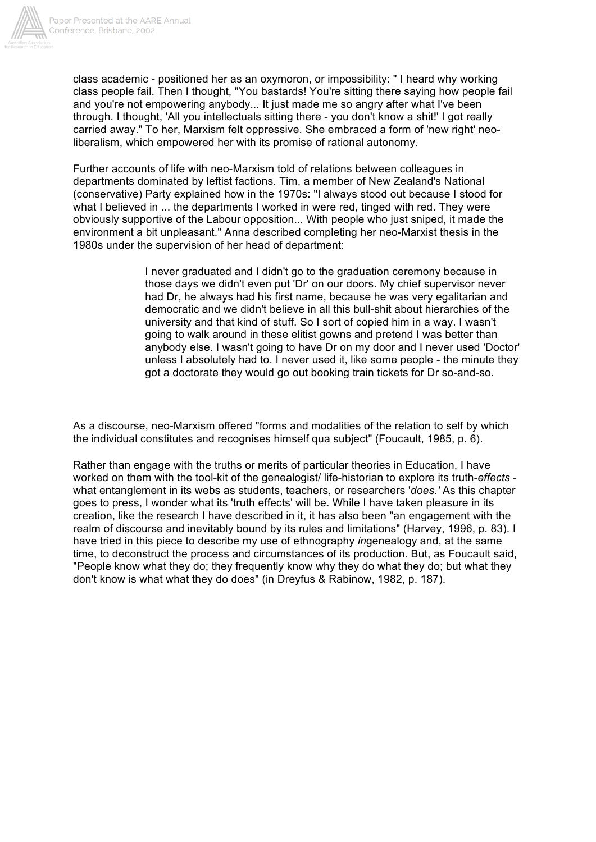

class academic - positioned her as an oxymoron, or impossibility: " I heard why working class people fail. Then I thought, "You bastards! You're sitting there saying how people fail and you're not empowering anybody... It just made me so angry after what I've been through. I thought, 'All you intellectuals sitting there - you don't know a shit!' I got really carried away." To her, Marxism felt oppressive. She embraced a form of 'new right' neoliberalism, which empowered her with its promise of rational autonomy.

Further accounts of life with neo-Marxism told of relations between colleagues in departments dominated by leftist factions. Tim, a member of New Zealand's National (conservative) Party explained how in the 1970s: "I always stood out because I stood for what I believed in ... the departments I worked in were red, tinged with red. They were obviously supportive of the Labour opposition... With people who just sniped, it made the environment a bit unpleasant." Anna described completing her neo-Marxist thesis in the 1980s under the supervision of her head of department:

> I never graduated and I didn't go to the graduation ceremony because in those days we didn't even put 'Dr' on our doors. My chief supervisor never had Dr, he always had his first name, because he was very egalitarian and democratic and we didn't believe in all this bull-shit about hierarchies of the university and that kind of stuff. So I sort of copied him in a way. I wasn't going to walk around in these elitist gowns and pretend I was better than anybody else. I wasn't going to have Dr on my door and I never used 'Doctor' unless I absolutely had to. I never used it, like some people - the minute they got a doctorate they would go out booking train tickets for Dr so-and-so.

As a discourse, neo-Marxism offered "forms and modalities of the relation to self by which the individual constitutes and recognises himself qua subject" (Foucault, 1985, p. 6).

Rather than engage with the truths or merits of particular theories in Education, I have worked on them with the tool-kit of the genealogist/ life-historian to explore its truth-*effects* what entanglement in its webs as students, teachers, or researchers '*does.'* As this chapter goes to press, I wonder what its 'truth effects' will be. While I have taken pleasure in its creation, like the research I have described in it, it has also been "an engagement with the realm of discourse and inevitably bound by its rules and limitations" (Harvey, 1996, p. 83). I have tried in this piece to describe my use of ethnography *in*genealogy and, at the same time, to deconstruct the process and circumstances of its production. But, as Foucault said, "People know what they do; they frequently know why they do what they do; but what they don't know is what what they do does" (in Dreyfus & Rabinow, 1982, p. 187).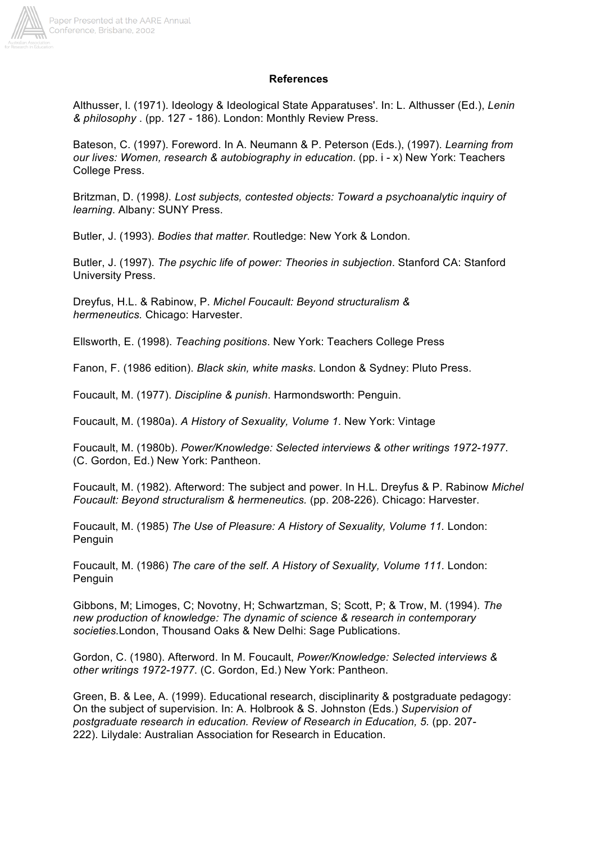

#### **References**

Althusser, l. (1971). Ideology & Ideological State Apparatuses'. In: L. Althusser (Ed.), *Lenin & philosophy* . (pp. 127 - 186). London: Monthly Review Press.

Bateson, C. (1997). Foreword. In A. Neumann & P. Peterson (Eds.), (1997). *Learning from our lives: Women, research & autobiography in education*. (pp. i - x) New York: Teachers College Press.

Britzman, D. (1998*). Lost subjects, contested objects: Toward a psychoanalytic inquiry of learning*. Albany: SUNY Press.

Butler, J. (1993). *Bodies that matter*. Routledge: New York & London.

Butler, J. (1997). *The psychic life of power: Theories in subjection*. Stanford CA: Stanford University Press.

Dreyfus, H.L. & Rabinow, P. *Michel Foucault: Beyond structuralism & hermeneutics.* Chicago: Harvester.

Ellsworth, E. (1998). *Teaching positions*. New York: Teachers College Press

Fanon, F. (1986 edition). *Black skin, white masks*. London & Sydney: Pluto Press.

Foucault, M. (1977). *Discipline & punish*. Harmondsworth: Penguin.

Foucault, M. (1980a). *A History of Sexuality, Volume 1*. New York: Vintage

Foucault, M. (1980b). *Power/Knowledge: Selected interviews & other writings 1972-1977*. (C. Gordon, Ed.) New York: Pantheon.

Foucault, M. (1982). Afterword: The subject and power. In H.L. Dreyfus & P. Rabinow *Michel Foucault: Beyond structuralism & hermeneutics.* (pp. 208-226). Chicago: Harvester.

Foucault, M. (1985) *The Use of Pleasure: A History of Sexuality, Volume 11.* London: Penguin

Foucault, M. (1986) *The care of the self*. *A History of Sexuality, Volume 111.* London: Penguin

Gibbons, M; Limoges, C; Novotny, H; Schwartzman, S; Scott, P; & Trow, M. (1994). *The new production of knowledge: The dynamic of science & research in contemporary societies.*London, Thousand Oaks & New Delhi: Sage Publications.

Gordon, C. (1980). Afterword. In M. Foucault, *Power/Knowledge: Selected interviews & other writings 1972-1977*. (C. Gordon, Ed.) New York: Pantheon.

Green, B. & Lee, A. (1999). Educational research, disciplinarity & postgraduate pedagogy: On the subject of supervision. In: A. Holbrook & S. Johnston (Eds.) *Supervision of postgraduate research in education. Review of Research in Education, 5.* (pp. 207- 222). Lilydale: Australian Association for Research in Education.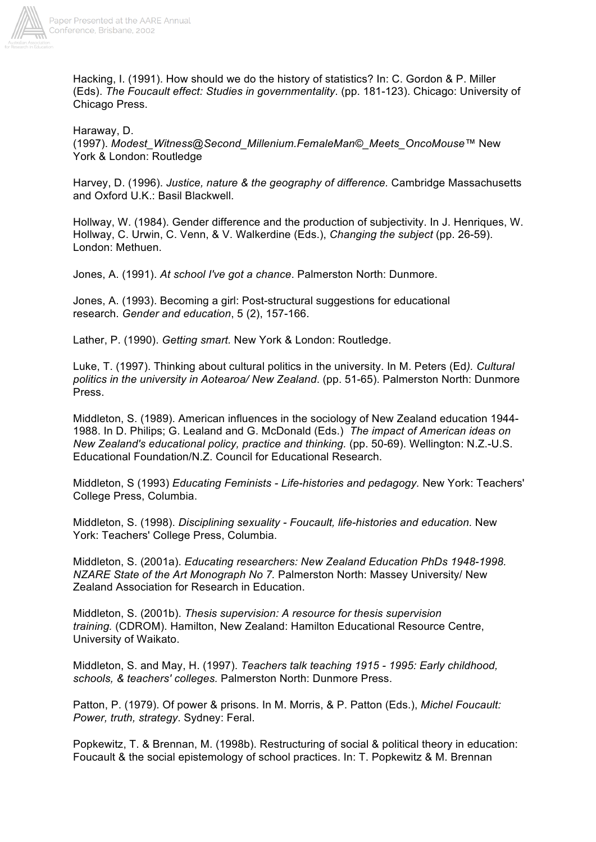

Hacking, I. (1991). How should we do the history of statistics? In: C. Gordon & P. Miller (Eds). *The Foucault effect: Studies in governmentality*. (pp. 181-123). Chicago: University of Chicago Press.

Haraway, D.

(1997). *Modest\_Witness@Second\_Millenium.FemaleMan©\_Meets\_OncoMouse™* New York & London: Routledge

Harvey, D. (1996). *Justice, nature & the geography of difference.* Cambridge Massachusetts and Oxford U.K.: Basil Blackwell.

Hollway, W. (1984). Gender difference and the production of subjectivity. In J. Henriques, W. Hollway, C. Urwin, C. Venn, & V. Walkerdine (Eds.), *Changing the subject* (pp. 26-59). London: Methuen.

Jones, A. (1991). *At school I've got a chance*. Palmerston North: Dunmore.

Jones, A. (1993). Becoming a girl: Post-structural suggestions for educational research. *Gender and education*, 5 (2), 157-166.

Lather, P. (1990). *Getting smart.* New York & London: Routledge.

Luke, T. (1997). Thinking about cultural politics in the university. In M. Peters (Ed*). Cultural politics in the university in Aotearoa/ New Zealand*. (pp. 51-65). Palmerston North: Dunmore Press.

Middleton, S. (1989). American influences in the sociology of New Zealand education 1944- 1988. In D. Philips; G. Lealand and G. McDonald (Eds.) *The impact of American ideas on New Zealand's educational policy, practice and thinking.* (pp. 50-69). Wellington: N.Z.-U.S. Educational Foundation/N.Z. Council for Educational Research.

Middleton, S (1993) *Educating Feminists - Life-histories and pedagogy.* New York: Teachers' College Press, Columbia.

Middleton, S. (1998). *Disciplining sexuality - Foucault, life-histories and education.* New York: Teachers' College Press, Columbia.

Middleton, S. (2001a). *Educating researchers: New Zealand Education PhDs 1948-1998. NZARE State of the Art Monograph No 7.* Palmerston North: Massey University/ New Zealand Association for Research in Education.

Middleton, S. (2001b). *Thesis supervision: A resource for thesis supervision training.* (CDROM). Hamilton, New Zealand: Hamilton Educational Resource Centre, University of Waikato.

Middleton, S. and May, H. (1997). *Teachers talk teaching 1915 - 1995: Early childhood, schools, & teachers' colleges.* Palmerston North: Dunmore Press.

Patton, P. (1979). Of power & prisons. In M. Morris, & P. Patton (Eds.), *Michel Foucault: Power, truth, strategy*. Sydney: Feral.

Popkewitz, T. & Brennan, M. (1998b). Restructuring of social & political theory in education: Foucault & the social epistemology of school practices. In: T. Popkewitz & M. Brennan